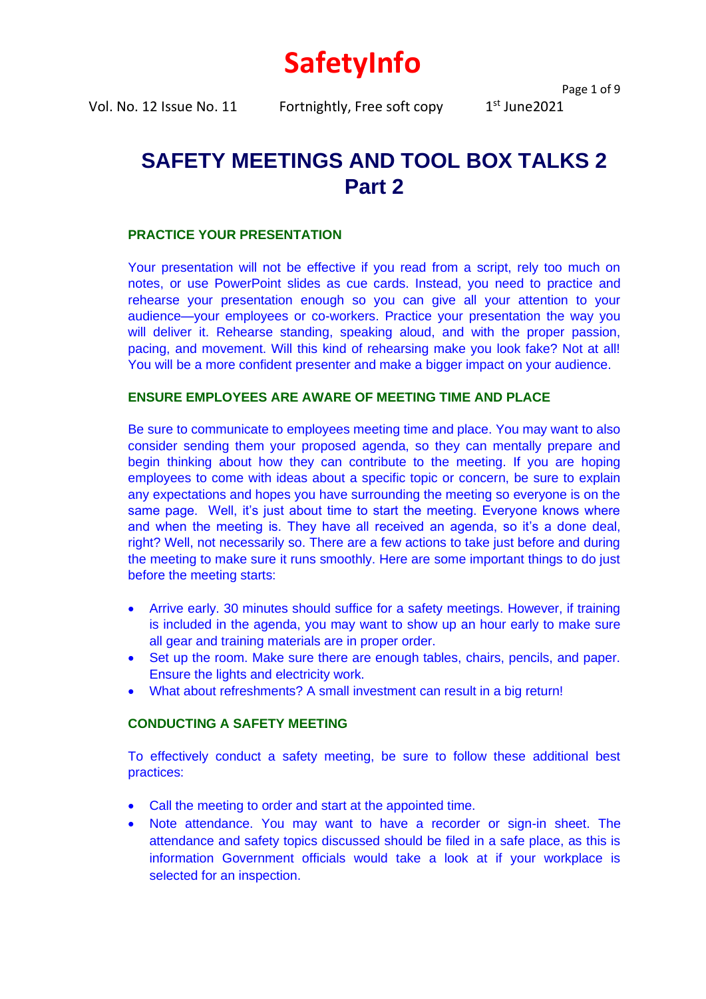# **SafetyInfo**

Vol. No. 12 Issue No. 11 Fortnightly, Free soft copy

Page 1 of 9

 $1<sup>st</sup>$  June2021

# **SAFETY MEETINGS AND TOOL BOX TALKS 2 Part 2**

# **PRACTICE YOUR PRESENTATION**

Your presentation will not be effective if you read from a script, rely too much on notes, or use PowerPoint slides as cue cards. Instead, you need to practice and rehearse your presentation enough so you can give all your attention to your audience—your employees or co-workers. Practice your presentation the way you will deliver it. Rehearse standing, speaking aloud, and with the proper passion, pacing, and movement. Will this kind of rehearsing make you look fake? Not at all! You will be a more confident presenter and make a bigger impact on your audience.

# **ENSURE EMPLOYEES ARE AWARE OF MEETING TIME AND PLACE**

Be sure to communicate to employees meeting time and place. You may want to also consider sending them your proposed agenda, so they can mentally prepare and begin thinking about how they can contribute to the meeting. If you are hoping employees to come with ideas about a specific topic or concern, be sure to explain any expectations and hopes you have surrounding the meeting so everyone is on the same page. Well, it's just about time to start the meeting. Everyone knows where and when the meeting is. They have all received an agenda, so it's a done deal, right? Well, not necessarily so. There are a few actions to take just before and during the meeting to make sure it runs smoothly. Here are some important things to do just before the meeting starts:

- Arrive early. 30 minutes should suffice for a safety meetings. However, if training is included in the agenda, you may want to show up an hour early to make sure all gear and training materials are in proper order.
- Set up the room. Make sure there are enough tables, chairs, pencils, and paper. Ensure the lights and electricity work.
- What about refreshments? A small investment can result in a big return!

# **CONDUCTING A SAFETY MEETING**

To effectively conduct a safety meeting, be sure to follow these additional best practices:

- Call the meeting to order and start at the appointed time.
- Note attendance. You may want to have a recorder or sign-in sheet. The attendance and safety topics discussed should be filed in a safe place, as this is information Government officials would take a look at if your workplace is selected for an inspection.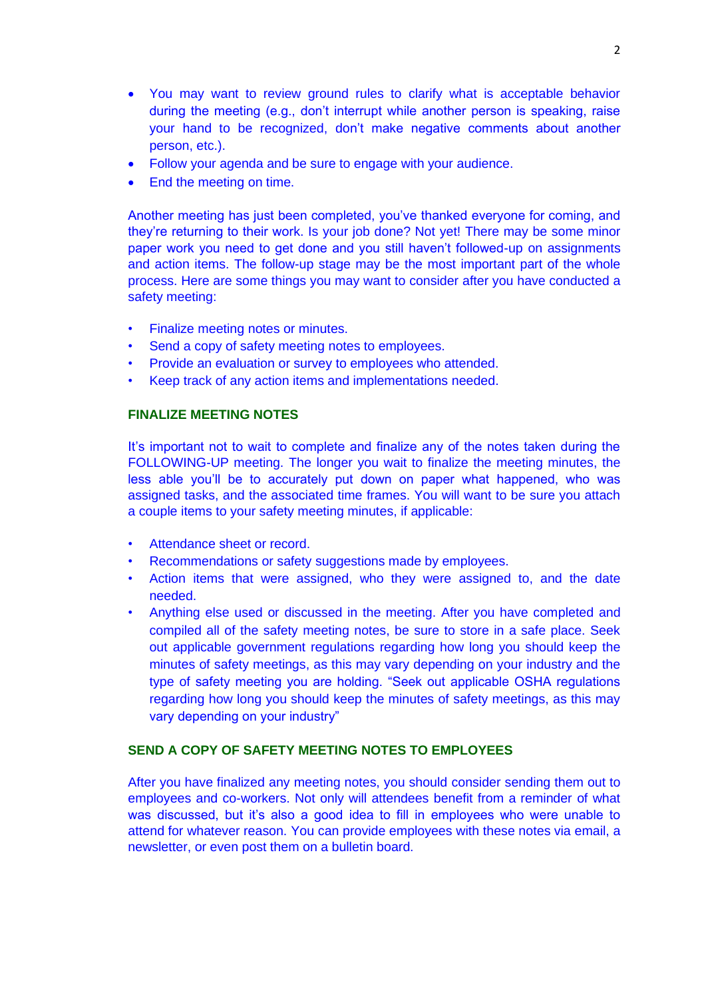- You may want to review ground rules to clarify what is acceptable behavior during the meeting (e.g., don't interrupt while another person is speaking, raise your hand to be recognized, don't make negative comments about another person, etc.).
- Follow your agenda and be sure to engage with your audience.
- End the meeting on time.

Another meeting has just been completed, you've thanked everyone for coming, and they're returning to their work. Is your job done? Not yet! There may be some minor paper work you need to get done and you still haven't followed-up on assignments and action items. The follow-up stage may be the most important part of the whole process. Here are some things you may want to consider after you have conducted a safety meeting:

- Finalize meeting notes or minutes.
- Send a copy of safety meeting notes to employees.
- Provide an evaluation or survey to employees who attended.
- Keep track of any action items and implementations needed.

#### **FINALIZE MEETING NOTES**

It's important not to wait to complete and finalize any of the notes taken during the FOLLOWING-UP meeting. The longer you wait to finalize the meeting minutes, the less able you'll be to accurately put down on paper what happened, who was assigned tasks, and the associated time frames. You will want to be sure you attach a couple items to your safety meeting minutes, if applicable:

- Attendance sheet or record.
- Recommendations or safety suggestions made by employees.
- Action items that were assigned, who they were assigned to, and the date needed.
- Anything else used or discussed in the meeting. After you have completed and compiled all of the safety meeting notes, be sure to store in a safe place. Seek out applicable government regulations regarding how long you should keep the minutes of safety meetings, as this may vary depending on your industry and the type of safety meeting you are holding. "Seek out applicable OSHA regulations regarding how long you should keep the minutes of safety meetings, as this may vary depending on your industry"

# **SEND A COPY OF SAFETY MEETING NOTES TO EMPLOYEES**

After you have finalized any meeting notes, you should consider sending them out to employees and co-workers. Not only will attendees benefit from a reminder of what was discussed, but it's also a good idea to fill in employees who were unable to attend for whatever reason. You can provide employees with these notes via email, a newsletter, or even post them on a bulletin board.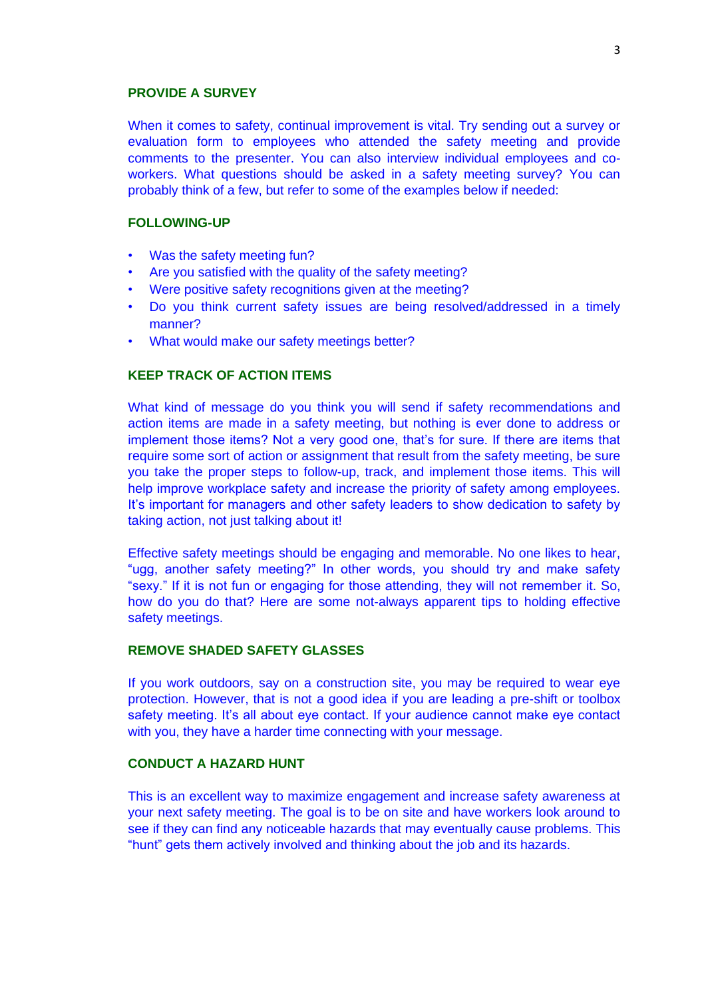#### **PROVIDE A SURVEY**

When it comes to safety, continual improvement is vital. Try sending out a survey or evaluation form to employees who attended the safety meeting and provide comments to the presenter. You can also interview individual employees and coworkers. What questions should be asked in a safety meeting survey? You can probably think of a few, but refer to some of the examples below if needed:

#### **FOLLOWING-UP**

- Was the safety meeting fun?
- Are you satisfied with the quality of the safety meeting?
- Were positive safety recognitions given at the meeting?
- Do you think current safety issues are being resolved/addressed in a timely manner?
- What would make our safety meetings better?

# **KEEP TRACK OF ACTION ITEMS**

What kind of message do you think you will send if safety recommendations and action items are made in a safety meeting, but nothing is ever done to address or implement those items? Not a very good one, that's for sure. If there are items that require some sort of action or assignment that result from the safety meeting, be sure you take the proper steps to follow-up, track, and implement those items. This will help improve workplace safety and increase the priority of safety among employees. It's important for managers and other safety leaders to show dedication to safety by taking action, not just talking about it!

Effective safety meetings should be engaging and memorable. No one likes to hear, "ugg, another safety meeting?" In other words, you should try and make safety "sexy." If it is not fun or engaging for those attending, they will not remember it. So, how do you do that? Here are some not-always apparent tips to holding effective safety meetings.

#### **REMOVE SHADED SAFETY GLASSES**

If you work outdoors, say on a construction site, you may be required to wear eye protection. However, that is not a good idea if you are leading a pre-shift or toolbox safety meeting. It's all about eye contact. If your audience cannot make eye contact with you, they have a harder time connecting with your message.

# **CONDUCT A HAZARD HUNT**

This is an excellent way to maximize engagement and increase safety awareness at your next safety meeting. The goal is to be on site and have workers look around to see if they can find any noticeable hazards that may eventually cause problems. This "hunt" gets them actively involved and thinking about the job and its hazards.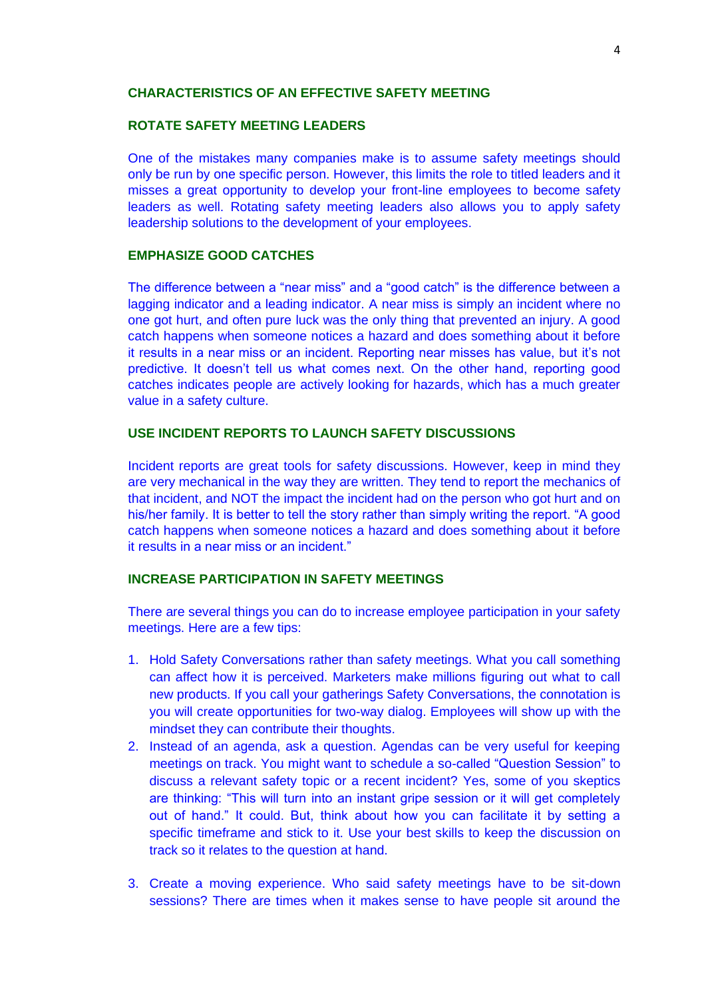#### **CHARACTERISTICS OF AN EFFECTIVE SAFETY MEETING**

# **ROTATE SAFETY MEETING LEADERS**

One of the mistakes many companies make is to assume safety meetings should only be run by one specific person. However, this limits the role to titled leaders and it misses a great opportunity to develop your front-line employees to become safety leaders as well. Rotating safety meeting leaders also allows you to apply safety leadership solutions to the development of your employees.

# **EMPHASIZE GOOD CATCHES**

The difference between a "near miss" and a "good catch" is the difference between a lagging indicator and a leading indicator. A near miss is simply an incident where no one got hurt, and often pure luck was the only thing that prevented an injury. A good catch happens when someone notices a hazard and does something about it before it results in a near miss or an incident. Reporting near misses has value, but it's not predictive. It doesn't tell us what comes next. On the other hand, reporting good catches indicates people are actively looking for hazards, which has a much greater value in a safety culture.

#### **USE INCIDENT REPORTS TO LAUNCH SAFETY DISCUSSIONS**

Incident reports are great tools for safety discussions. However, keep in mind they are very mechanical in the way they are written. They tend to report the mechanics of that incident, and NOT the impact the incident had on the person who got hurt and on his/her family. It is better to tell the story rather than simply writing the report. "A good catch happens when someone notices a hazard and does something about it before it results in a near miss or an incident."

# **INCREASE PARTICIPATION IN SAFETY MEETINGS**

There are several things you can do to increase employee participation in your safety meetings. Here are a few tips:

- 1. Hold Safety Conversations rather than safety meetings. What you call something can affect how it is perceived. Marketers make millions figuring out what to call new products. If you call your gatherings Safety Conversations, the connotation is you will create opportunities for two-way dialog. Employees will show up with the mindset they can contribute their thoughts.
- 2. Instead of an agenda, ask a question. Agendas can be very useful for keeping meetings on track. You might want to schedule a so-called "Question Session" to discuss a relevant safety topic or a recent incident? Yes, some of you skeptics are thinking: "This will turn into an instant gripe session or it will get completely out of hand." It could. But, think about how you can facilitate it by setting a specific timeframe and stick to it. Use your best skills to keep the discussion on track so it relates to the question at hand.
- 3. Create a moving experience. Who said safety meetings have to be sit-down sessions? There are times when it makes sense to have people sit around the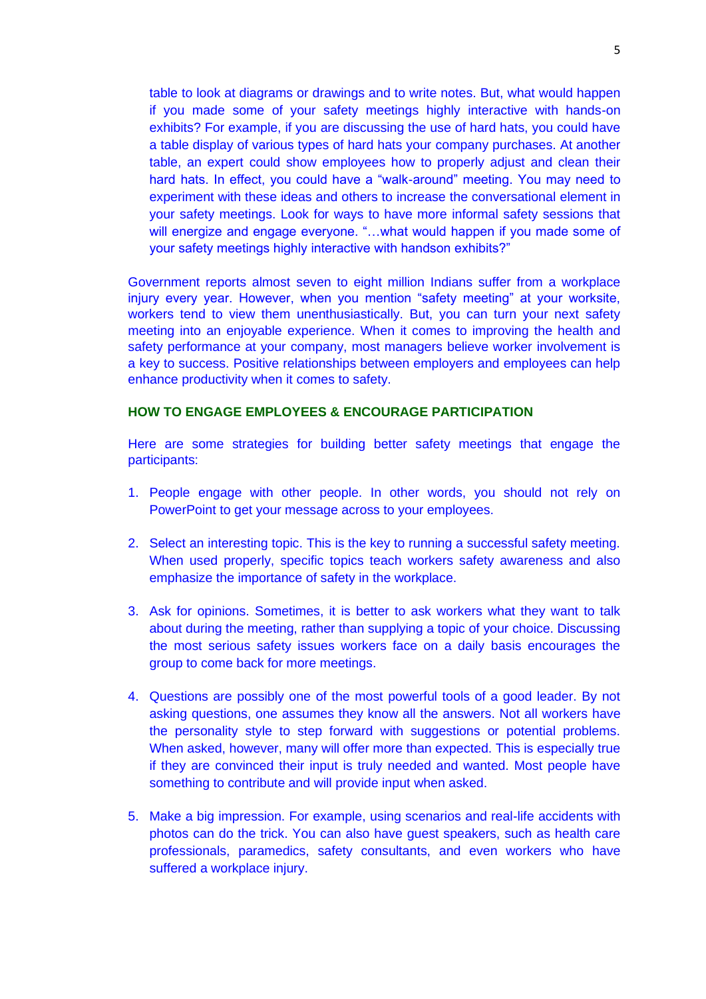table to look at diagrams or drawings and to write notes. But, what would happen if you made some of your safety meetings highly interactive with hands-on exhibits? For example, if you are discussing the use of hard hats, you could have a table display of various types of hard hats your company purchases. At another table, an expert could show employees how to properly adjust and clean their hard hats. In effect, you could have a "walk-around" meeting. You may need to experiment with these ideas and others to increase the conversational element in your safety meetings. Look for ways to have more informal safety sessions that will energize and engage everyone. "...what would happen if you made some of your safety meetings highly interactive with handson exhibits?"

Government reports almost seven to eight million Indians suffer from a workplace injury every year. However, when you mention "safety meeting" at your worksite, workers tend to view them unenthusiastically. But, you can turn your next safety meeting into an enjoyable experience. When it comes to improving the health and safety performance at your company, most managers believe worker involvement is a key to success. Positive relationships between employers and employees can help enhance productivity when it comes to safety.

#### **HOW TO ENGAGE EMPLOYEES & ENCOURAGE PARTICIPATION**

Here are some strategies for building better safety meetings that engage the participants:

- 1. People engage with other people. In other words, you should not rely on PowerPoint to get your message across to your employees.
- 2. Select an interesting topic. This is the key to running a successful safety meeting. When used properly, specific topics teach workers safety awareness and also emphasize the importance of safety in the workplace.
- 3. Ask for opinions. Sometimes, it is better to ask workers what they want to talk about during the meeting, rather than supplying a topic of your choice. Discussing the most serious safety issues workers face on a daily basis encourages the group to come back for more meetings.
- 4. Questions are possibly one of the most powerful tools of a good leader. By not asking questions, one assumes they know all the answers. Not all workers have the personality style to step forward with suggestions or potential problems. When asked, however, many will offer more than expected. This is especially true if they are convinced their input is truly needed and wanted. Most people have something to contribute and will provide input when asked.
- 5. Make a big impression. For example, using scenarios and real-life accidents with photos can do the trick. You can also have guest speakers, such as health care professionals, paramedics, safety consultants, and even workers who have suffered a workplace injury.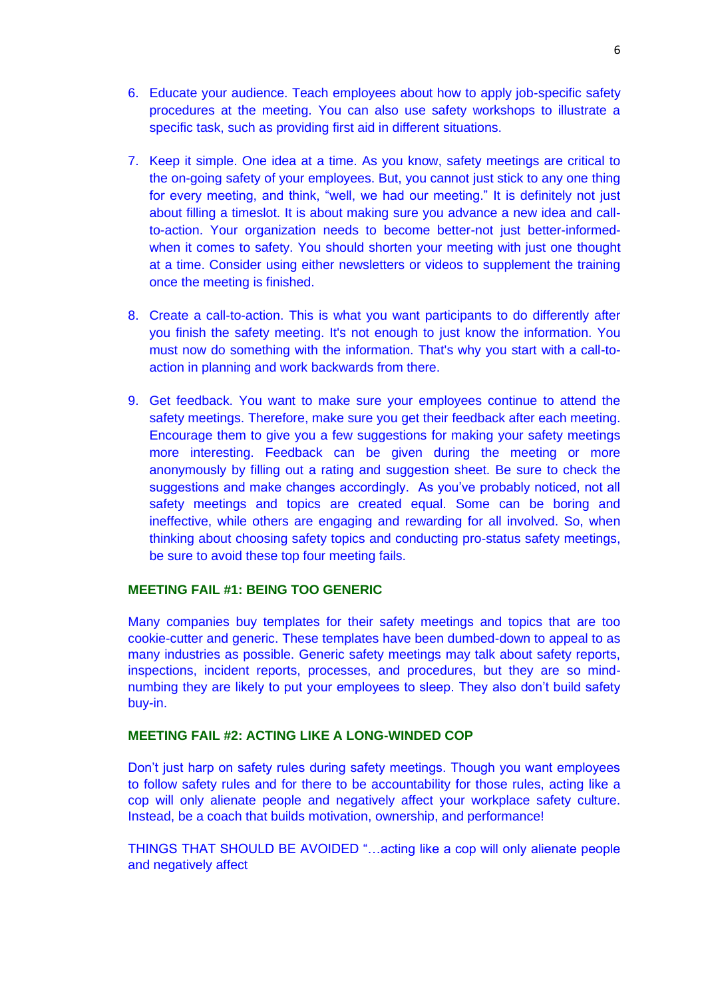- 6. Educate your audience. Teach employees about how to apply job-specific safety procedures at the meeting. You can also use safety workshops to illustrate a specific task, such as providing first aid in different situations.
- 7. Keep it simple. One idea at a time. As you know, safety meetings are critical to the on-going safety of your employees. But, you cannot just stick to any one thing for every meeting, and think, "well, we had our meeting." It is definitely not just about filling a timeslot. It is about making sure you advance a new idea and callto-action. Your organization needs to become better-not just better-informedwhen it comes to safety. You should shorten your meeting with just one thought at a time. Consider using either newsletters or videos to supplement the training once the meeting is finished.
- 8. Create a call-to-action. This is what you want participants to do differently after you finish the safety meeting. It's not enough to just know the information. You must now do something with the information. That's why you start with a call-toaction in planning and work backwards from there.
- 9. Get feedback. You want to make sure your employees continue to attend the safety meetings. Therefore, make sure you get their feedback after each meeting. Encourage them to give you a few suggestions for making your safety meetings more interesting. Feedback can be given during the meeting or more anonymously by filling out a rating and suggestion sheet. Be sure to check the suggestions and make changes accordingly. As you've probably noticed, not all safety meetings and topics are created equal. Some can be boring and ineffective, while others are engaging and rewarding for all involved. So, when thinking about choosing safety topics and conducting pro-status safety meetings, be sure to avoid these top four meeting fails.

#### **MEETING FAIL #1: BEING TOO GENERIC**

Many companies buy templates for their safety meetings and topics that are too cookie-cutter and generic. These templates have been dumbed-down to appeal to as many industries as possible. Generic safety meetings may talk about safety reports, inspections, incident reports, processes, and procedures, but they are so mindnumbing they are likely to put your employees to sleep. They also don't build safety buy-in.

# **MEETING FAIL #2: ACTING LIKE A LONG-WINDED COP**

Don't just harp on safety rules during safety meetings. Though you want employees to follow safety rules and for there to be accountability for those rules, acting like a cop will only alienate people and negatively affect your workplace safety culture. Instead, be a coach that builds motivation, ownership, and performance!

THINGS THAT SHOULD BE AVOIDED "…acting like a cop will only alienate people and negatively affect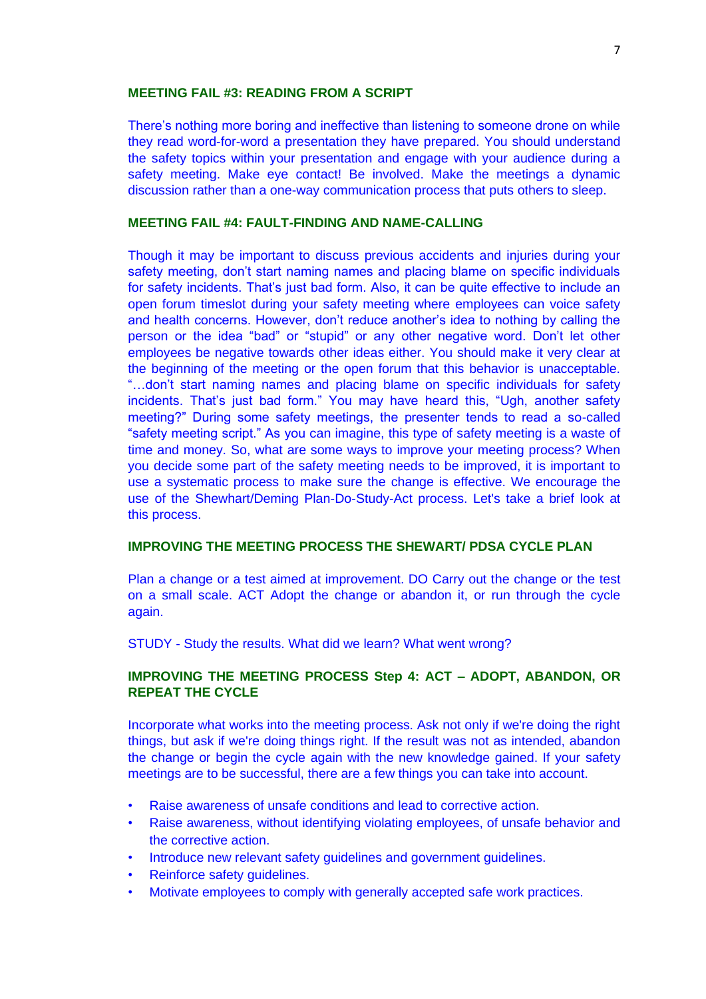#### **MEETING FAIL #3: READING FROM A SCRIPT**

There's nothing more boring and ineffective than listening to someone drone on while they read word-for-word a presentation they have prepared. You should understand the safety topics within your presentation and engage with your audience during a safety meeting. Make eye contact! Be involved. Make the meetings a dynamic discussion rather than a one-way communication process that puts others to sleep.

#### **MEETING FAIL #4: FAULT-FINDING AND NAME-CALLING**

Though it may be important to discuss previous accidents and injuries during your safety meeting, don't start naming names and placing blame on specific individuals for safety incidents. That's just bad form. Also, it can be quite effective to include an open forum timeslot during your safety meeting where employees can voice safety and health concerns. However, don't reduce another's idea to nothing by calling the person or the idea "bad" or "stupid" or any other negative word. Don't let other employees be negative towards other ideas either. You should make it very clear at the beginning of the meeting or the open forum that this behavior is unacceptable. "…don't start naming names and placing blame on specific individuals for safety incidents. That's just bad form." You may have heard this, "Ugh, another safety meeting?" During some safety meetings, the presenter tends to read a so-called "safety meeting script." As you can imagine, this type of safety meeting is a waste of time and money. So, what are some ways to improve your meeting process? When you decide some part of the safety meeting needs to be improved, it is important to use a systematic process to make sure the change is effective. We encourage the use of the Shewhart/Deming Plan-Do-Study-Act process. Let's take a brief look at this process.

#### **IMPROVING THE MEETING PROCESS THE SHEWART/ PDSA CYCLE PLAN**

Plan a change or a test aimed at improvement. DO Carry out the change or the test on a small scale. ACT Adopt the change or abandon it, or run through the cycle again.

STUDY - Study the results. What did we learn? What went wrong?

# **IMPROVING THE MEETING PROCESS Step 4: ACT – ADOPT, ABANDON, OR REPEAT THE CYCLE**

Incorporate what works into the meeting process. Ask not only if we're doing the right things, but ask if we're doing things right. If the result was not as intended, abandon the change or begin the cycle again with the new knowledge gained. If your safety meetings are to be successful, there are a few things you can take into account.

- Raise awareness of unsafe conditions and lead to corrective action.
- Raise awareness, without identifying violating employees, of unsafe behavior and the corrective action.
- Introduce new relevant safety guidelines and government guidelines.
- Reinforce safety guidelines.
- Motivate employees to comply with generally accepted safe work practices.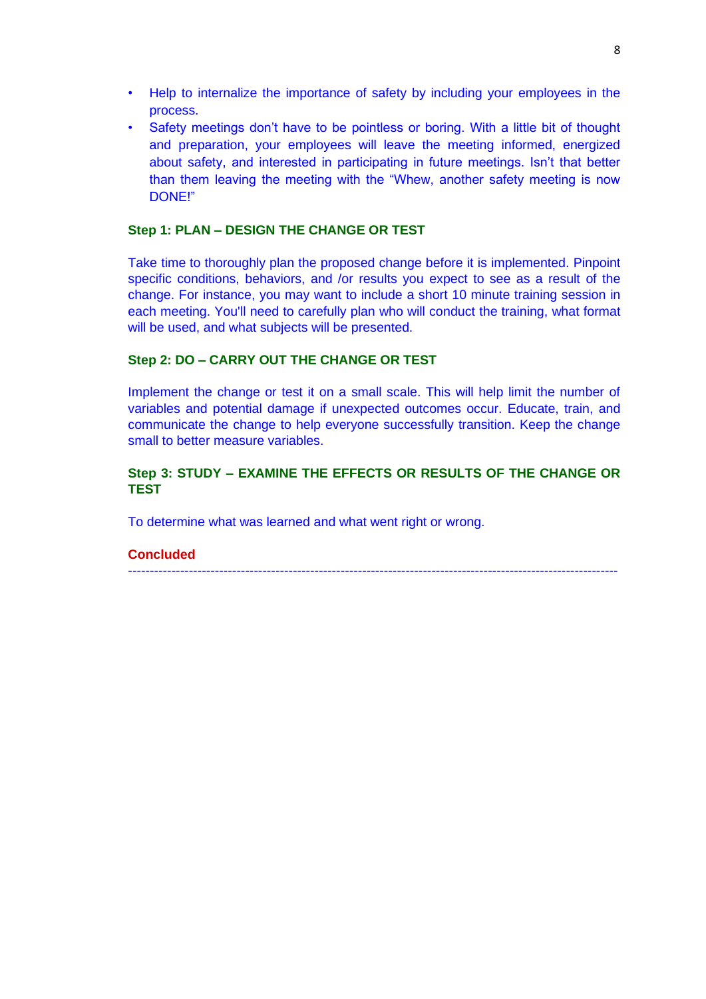- Help to internalize the importance of safety by including your employees in the process.
- Safety meetings don't have to be pointless or boring. With a little bit of thought and preparation, your employees will leave the meeting informed, energized about safety, and interested in participating in future meetings. Isn't that better than them leaving the meeting with the "Whew, another safety meeting is now DONE!"

# **Step 1: PLAN – DESIGN THE CHANGE OR TEST**

Take time to thoroughly plan the proposed change before it is implemented. Pinpoint specific conditions, behaviors, and /or results you expect to see as a result of the change. For instance, you may want to include a short 10 minute training session in each meeting. You'll need to carefully plan who will conduct the training, what format will be used, and what subjects will be presented.

# **Step 2: DO – CARRY OUT THE CHANGE OR TEST**

Implement the change or test it on a small scale. This will help limit the number of variables and potential damage if unexpected outcomes occur. Educate, train, and communicate the change to help everyone successfully transition. Keep the change small to better measure variables.

# **Step 3: STUDY – EXAMINE THE EFFECTS OR RESULTS OF THE CHANGE OR TEST**

To determine what was learned and what went right or wrong.

# **Concluded**

-----------------------------------------------------------------------------------------------------------------